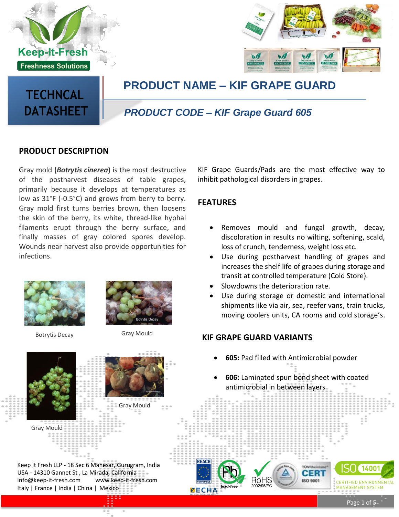



## **PRODUCT NAME – KIF GRAPE GUARD**

# **TECHNCAL DATASHEET**

### *PRODUCT CODE – KIF Grape Guard 605*

#### **PRODUCT DESCRIPTION**

Gray mold **(***Botrytis cinerea***)** is the most destructive of the postharvest diseases of table grapes, primarily because it develops at temperatures as low as 31°F (-0.5°C) and grows from berry to berry. Gray mold first turns berries brown, then loosens the skin of the berry, its white, thread-like hyphal filaments erupt through the berry surface, and finally masses of gray colored spores develop. Wounds near harvest also provide opportunities for infections.



Botrytis Decay **Gray Mould** 





Keep It Fresh LLP - 18 Sec 6 Manesar, Gurugram, India USA - 14310 Gannet St , La Mirada, Californi[a](mailto:info@keep-it-fresh.com) [info@keep-it-fresh.com](mailto:info@keep-it-fresh.com) [www.keep-it-fresh.com](http://www.keep-it-fresh.com/) Italy | France | India | China | Mexico

KIF Grape Guards/Pads are the most effective way to inhibit pathological disorders in grapes.

#### **FEATURES**

- Removes mould and fungal growth, decay, discoloration in results no wilting, softening, scald, loss of crunch, tenderness, weight loss etc.
- Use during postharvest handling of grapes and increases the shelf life of grapes during storage and transit at controlled temperature (Cold Store).
- Slowdowns the deterioration rate.
- Use during storage or domestic and international shipments like via air, sea, reefer vans, train trucks, moving coolers units, CA rooms and cold storage's.

#### **KIF GRAPE GUARD VARIANTS**

- **605:** Pad filled with Antimicrobial powder
- **606:** Laminated spun bond sheet with coated antimicrobial in between layers

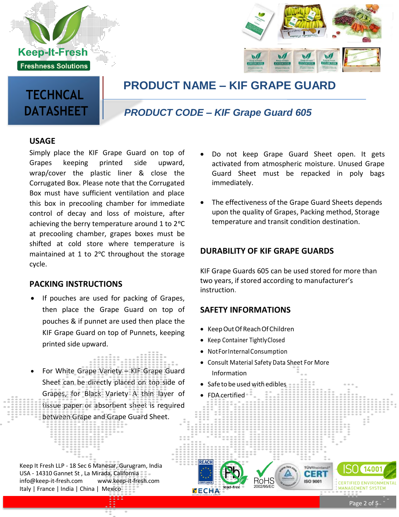



## **PRODUCT NAME – KIF GRAPE GUARD**

# **TECHNCAL DATASHEET**

### *PRODUCT CODE – KIF Grape Guard 605*

#### **USAGE**

Simply place the KIF Grape Guard on top of Grapes keeping printed side upward, wrap/cover the plastic liner & close the Corrugated Box. Please note that the Corrugated Box must have sufficient ventilation and place this box in precooling chamber for immediate control of decay and loss of moisture, after achieving the berry temperature around 1 to 2 °C at precooling chamber, grapes boxes must be shifted at cold store where temperature is maintained at 1 to 2°C throughout the storage cycle.

#### **PACKING INSTRUCTIONS**

- If pouches are used for packing of Grapes, then place the Grape Guard on top of pouches & if punnet are used then place the KIF Grape Guard on top of Punnets, keeping printed side upward.
- For White Grape Variety KIF Grape Guard Sheet can be directly placed on top side of Grapes, for Black Variety A thin layer of tissue paper or absorbent sheet is required between Grape and Grape Guard Sheet.
- Keep It Fresh LLP 18 Sec 6 Manesar, Gurug[ram, India](mailto:info@keep-it-fresh.com) USA - 14310 Gannet St , La Mirada, California [info@keep-it-fresh.com](mailto:info@keep-it-fresh.com) [www.keep-it-fresh.com](http://www.keep-it-fresh.com/) Italy | France | India | China | Mexico
- Do not keep Grape Guard Sheet open. It gets activated from atmospheric moisture. Unused Grape Guard Sheet must be repacked in poly bags immediately.
- The effectiveness of the Grape Guard Sheets depends upon the quality of Grapes, Packing method, Storage temperature and transit condition destination.

#### **DURABILITY OF KIF GRAPE GUARDS**

KIF Grape Guards 605 can be used stored for more than two years, if stored according to manufacturer's instruction.

#### **SAFETY INFORMATIONS**

- Keep Out Of Reach Of Children
- Keep Container TightlyClosed
- NotForInternalConsumption
- Consult Material Safety Data Sheet For More Information

RóHS

50 9001

• Safe to be used with edibles

FDA certified



**CERTIFIED ENVIRONMENTAL MANAGEMENT SYSTEM**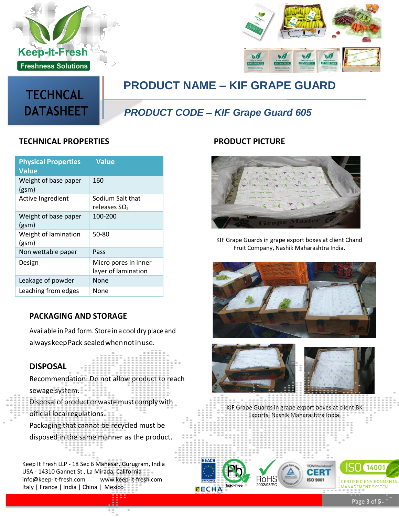





**PRODUCT NAME – KIF GRAPE GUARD**

### *PRODUCT CODE – KIF Grape Guard 605*

#### **TECHNICAL PROPERTIES PRODUCT PICTURE**

| <b>Physical Properties</b><br><b>Value</b> | <b>Value</b>                                |
|--------------------------------------------|---------------------------------------------|
| Weight of base paper<br>(g <sub>sm</sub> ) | 160                                         |
| <b>Active Ingredient</b>                   | Sodium Salt that<br>releases SO             |
| Weight of base paper<br>(g <sub>sm</sub> ) | 100-200                                     |
| Weight of lamination<br>(g <sub>sm</sub> ) | 50-80                                       |
| Non wettable paper                         | Pass                                        |
| Design                                     | Micro pores in inner<br>layer of lamination |
| Leakage of powder                          | None                                        |
| Leaching from edges                        | None                                        |

#### **PACKAGING AND STORAGE**

Available inPad form. Store in a cool dry place and alwayskeepPack sealedwhennotinuse.

#### **DISPOSAL**

Recommendation: Do not allow product to reach sewage system. Disposalofproductorwastemust complywith official localregulations.

Packaging that cannot be recycled must be disposed in the same manner as the product.

Keep It Fresh LLP - 18 Sec 6 Manesar, Gurug[ram, India](mailto:info@keep-it-fresh.com) USA - 14310 Gannet St , La Mirada, California [info@keep-it-fresh.com](mailto:info@keep-it-fresh.com) [www.keep-it-fresh.com](http://www.keep-it-fresh.com/) Italy | France | India | China | Mexico



KIF Grape Guards in grape export boxes at client Chand Fruit Company, Nashik Maharashtra India.



KIF Grape Guards in grape export boxes at client BK Exports, Nashik Maharashtra India.

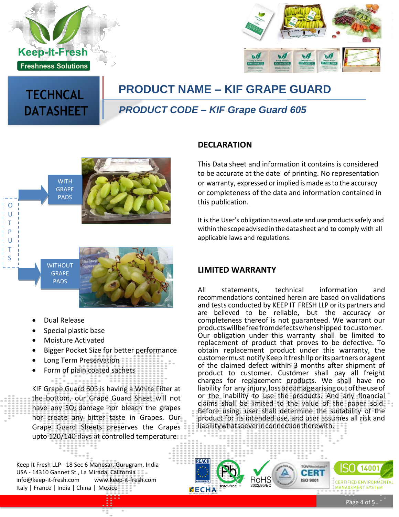

**TECHNCAL**

**DATASHEET**



# **PRODUCT NAME – KIF GRAPE GUARD**

### *PRODUCT CODE – KIF Grape Guard 605*



### **DECLARATION**

This Data sheet and information it contains is considered to be accurate at the date of printing. No representation or warranty, expressed or implied is made asto the accuracy or completeness of the data and information contained in this publication.

It is the User's obligation to evaluate and use productssafely and withinthe scope advised inthe data sheet and to comply with all applicable laws and regulations.



- Dual Release
- Special plastic base
- Moisture Activated
- Bigger Pocket Size for better performance
- Long Term Preservation
- Form of plain coated sachets

KIF Grape Guard 605 is having a White Filter at the bottom, our Grape Guard Sheet will not have any  $SO<sub>2</sub>$  damage nor bleach the grapes nor create any bitter taste in Grapes. Our Grape Guard Sheets preserves the Grapes upto 120/140 days at controlled temperature.

Keep It Fresh LLP - 18 Sec 6 Manesar, Gurug[ram, India](mailto:info@keep-it-fresh.com) USA - 14310 Gannet St , La Mirada, California [info@keep-it-fresh.com](mailto:info@keep-it-fresh.com) [www.keep-it-fresh.com](http://www.keep-it-fresh.com/) Italy | France | India | China | Mexico

#### **LIMITED WARRANTY**

All statements, technical information and recommendations contained herein are based on validations and tests conducted by KEEP IT FRESH LLP or its partners and are believed to be reliable, but the accuracy or completeness thereof is not guaranteed. We warrant our productswillbefreefromdefectswhenshipped tocustomer. Our obligation under this warranty shall be limited to replacement of product that proves to be defective. To obtain replacement product under this warranty, the customer must notify Keep it fresh llp or its partners or agent of the claimed defect within 3 months after shipment of product to customer. Customer shall pay all freight charges for replacement products. We shall have no liability for any injury,lossordamagearisingoutoftheuseof or the inability to use the products. And any financial claims shall be limited to the value of the paper sold. Before using, user shall determine the suitability of the product for its intended use, and user assumes all risk and liabilitywhatsoeverinconnectiontherewith.



Page 4 of 5